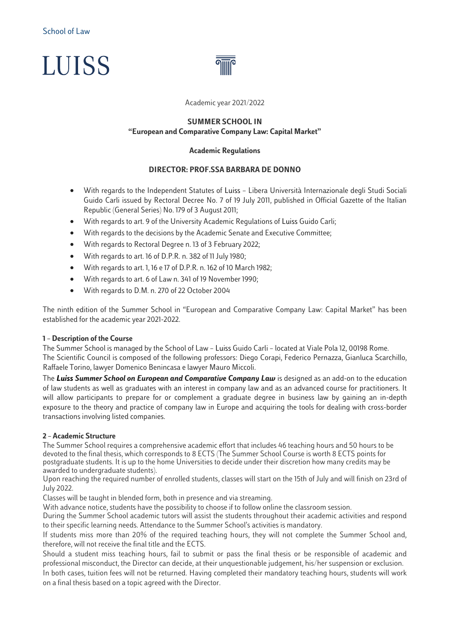



Academic year 2021/2022

#### **SUMMER SCHOOL IN "European and Comparative Company Law: Capital Market"**

#### **Academic Regulations**

### **DIRECTOR: PROF.SSA BARBARA DE DONNO**

- With regards to the Independent Statutes of Luiss Libera Università Internazionale degli Studi Sociali Guido Carli issued by Rectoral Decree No. 7 of 19 July 2011, published in Official Gazette of the Italian Republic (General Series) No. 179 of 3 August 2011;
- With regards to art. 9 of the University Academic Regulations of Luiss Guido Carli;
- With regards to the decisions by the Academic Senate and Executive Committee;
- With regards to Rectoral Degree n. 13 of 3 February 2022;
- With regards to art. 16 of D.P.R. n. 382 of 11 July 1980;
- With regards to art. 1, 16 e 17 of D.P.R. n. 162 of 10 March 1982;
- With regards to art. 6 of Law n. 341 of 19 November 1990;
- With regards to D.M. n. 270 of 22 October 2004

The ninth edition of the Summer School in "European and Comparative Company Law: Capital Market" has been established for the academic year 2021-2022.

#### **1 – Description of the Course**

The Summer School is managed by the School of Law – Luiss Guido Carli – located at Viale Pola 12, 00198 Rome. The Scientific Council is composed of the following professors: Diego Corapi, Federico Pernazza, Gianluca Scarchillo, Raffaele Torino, lawyer Domenico Benincasa e lawyer Mauro Miccoli.

The *Luiss Summer School on European and Comparative Company Law* is designed as an add-on to the education of law students as well as graduates with an interest in company law and as an advanced course for practitioners. It will allow participants to prepare for or complement a graduate degree in business law by gaining an in-depth exposure to the theory and practice of company law in Europe and acquiring the tools for dealing with cross-border transactions involving listed companies.

### **2 – Academic Structure**

The Summer School requires a comprehensive academic effort that includes 46 teaching hours and 50 hours to be devoted to the final thesis, which corresponds to 8 ECTS (The Summer School Course is worth 8 ECTS points for postgraduate students. It is up to the home Universities to decide under their discretion how many credits may be awarded to undergraduate students).

Upon reaching the required number of enrolled students, classes will start on the 15th of July and will finish on 23rd of July 2022.

Classes will be taught in blended form, both in presence and via streaming.

With advance notice, students have the possibility to choose if to follow online the classroom session.

During the Summer School academic tutors will assist the students throughout their academic activities and respond to their specific learning needs. Attendance to the Summer School's activities is mandatory.

If students miss more than 20% of the required teaching hours, they will not complete the Summer School and, therefore, will not receive the final title and the ECTS.

Should a student miss teaching hours, fail to submit or pass the final thesis or be responsible of academic and professional misconduct, the Director can decide, at their unquestionable judgement, his/her suspension or exclusion.

In both cases, tuition fees will not be returned. Having completed their mandatory teaching hours, students will work on a final thesis based on a topic agreed with the Director.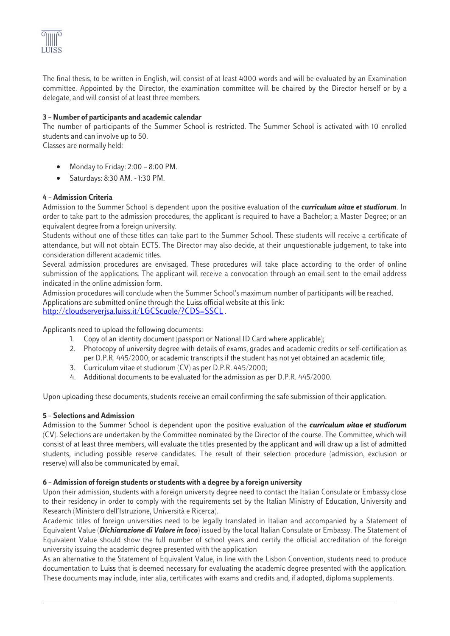

The final thesis, to be written in English, will consist of at least 4000 words and will be evaluated by an Examination committee. Appointed by the Director, the examination committee will be chaired by the Director herself or by a delegate, and will consist of at least three members.

## **3 – Number of participants and academic calendar**

The number of participants of the Summer School is restricted. The Summer School is activated with 10 enrolled students and can involve up to 50.

Classes are normally held:

- Monday to Friday: 2:00 8:00 PM.
- Saturdays: 8:30 AM. 1:30 PM.

### **4 – Admission Criteria**

Admission to the Summer School is dependent upon the positive evaluation of the *curriculum vitae et studiorum*. In order to take part to the admission procedures, the applicant is required to have a Bachelor; a Master Degree; or an equivalent degree from a foreign university.

Students without one of these titles can take part to the Summer School. These students will receive a certificate of attendance, but will not obtain ECTS. The Director may also decide, at their unquestionable judgement, to take into consideration different academic titles.

Several admission procedures are envisaged. These procedures will take place according to the order of online submission of the applications. The applicant will receive a convocation through an email sent to the email address indicated in the online admission form.

Admission procedures will conclude when the Summer School's maximum number of participants will be reached. Applications are submitted online through the Luiss official website at this link: <http://cloudserverjsa.luiss.it/LGCScuole/?CDS=SSCL> .

Applicants need to upload the following documents:

- 1. Copy of an identity document (passport or National ID Card where applicable);
- 2. Photocopy of university degree with details of exams, grades and academic credits or self-certification as per D.P.R. 445/2000; or academic transcripts if the student has not yet obtained an academic title;
- 3. Curriculum vitae et studiorum (CV) as per D.P.R. 445/2000;
- 4. Additional documents to be evaluated for the admission as per D.P.R. 445/2000.

Upon uploading these documents, students receive an email confirming the safe submission of their application.

### **5 – Selections and Admission**

Admission to the Summer School is dependent upon the positive evaluation of the *curriculum vitae et studiorum* (CV). Selections are undertaken by the Committee nominated by the Director of the course. The Committee, which will consist of at least three members, will evaluate the titles presented by the applicant and will draw up a list of admitted students, including possible reserve candidates. The result of their selection procedure (admission, exclusion or reserve) will also be communicated by email.

### **6 – Admission of foreign students or students with a degree by a foreign university**

Upon their admission, students with a foreign university degree need to contact the Italian Consulate or Embassy close to their residency in order to comply with the requirements set by the Italian Ministry of Education, University and Research (Ministero dell'Istruzione, Università e Ricerca).

Academic titles of foreign universities need to be legally translated in Italian and accompanied by a Statement of Equivalent Value (*Dichiarazione di Valore in loco*) issued by the local Italian Consulate or Embassy. The Statement of Equivalent Value should show the full number of school years and certify the official accreditation of the foreign university issuing the academic degree presented with the application

As an alternative to the Statement of Equivalent Value, in line with the Lisbon Convention, students need to produce documentation to Luiss that is deemed necessary for evaluating the academic degree presented with the application. These documents may include, inter alia, certificates with exams and credits and, if adopted, diploma supplements.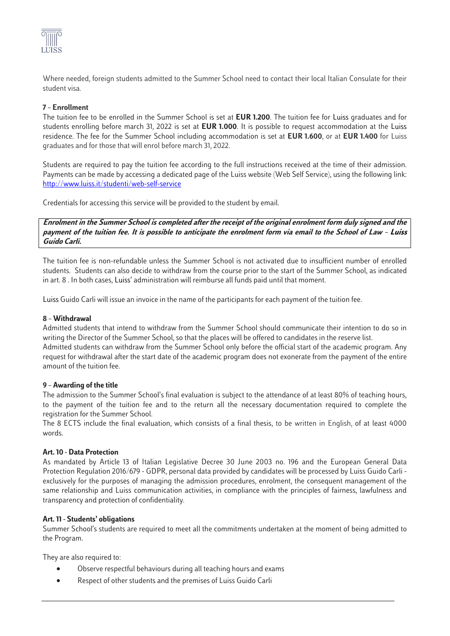

Where needed, foreign students admitted to the Summer School need to contact their local Italian Consulate for their student visa.

# **7– Enrollment**

The tuition fee to be enrolled in the Summer School is set at **EUR 1.200**. The tuition fee for Luiss graduates and for students enrolling before march 31, 2022 is set at **EUR 1.000**. It is possible to request accommodation at the Luiss residence. The fee for the Summer School including accommodation is set at **EUR 1.600**, or at **EUR 1.400** for Luiss graduates and for those that will enrol before march 31, 2022.

Students are required to pay the tuition fee according to the full instructions received at the time of their admission. Payments can be made by accessing a dedicated page of the Luiss website (Web Self Service), using the following link: <http://www.luiss.it/studenti/web-self-service>

Credentials for accessing this service will be provided to the student by email.

**Enrolment in the Summer School is completed after the receipt of the original enrolment form duly signed and the payment of the tuition fee. It is possible to anticipate the enrolment form via email to the School of Law – Luiss Guido Carli.** 

The tuition fee is non-refundable unless the Summer School is not activated due to insufficient number of enrolled students. Students can also decide to withdraw from the course prior to the start of the Summer School, as indicated in art. 8 . In both cases, Luiss' administration will reimburse all funds paid until that moment.

Luiss Guido Carli will issue an invoice in the name of the participants for each payment of the tuition fee.

### **8 – Withdrawal**

Admitted students that intend to withdraw from the Summer School should communicate their intention to do so in writing the Director of the Summer School, so that the places will be offered to candidates in the reserve list. Admitted students can withdraw from the Summer School only before the official start of the academic program. Any

request for withdrawal after the start date of the academic program does not exonerate from the payment of the entire amount of the tuition fee.

### **9 – Awarding of the title**

The admission to the Summer School's final evaluation is subject to the attendance of at least 80% of teaching hours, to the payment of the tuition fee and to the return all the necessary documentation required to complete the registration for the Summer School.

The 8 ECTS include the final evaluation, which consists of a final thesis, to be written in English, of at least 4000 words.

### **Art. 10 - Data Protection**

As mandated by Article 13 of Italian Legislative Decree 30 June 2003 no. 196 and the European General Data Protection Regulation 2016/679 - GDPR, personal data provided by candidates will be processed by Luiss Guido Carli exclusively for the purposes of managing the admission procedures, enrolment, the consequent management of the same relationship and Luiss communication activities, in compliance with the principles of fairness, lawfulness and transparency and protection of confidentiality.

### **Art. 11 - Students' obligations**

Summer School's students are required to meet all the commitments undertaken at the moment of being admitted to the Program.

They are also required to:

- Observe respectful behaviours during all teaching hours and exams
- Respect of other students and the premises of Luiss Guido Carli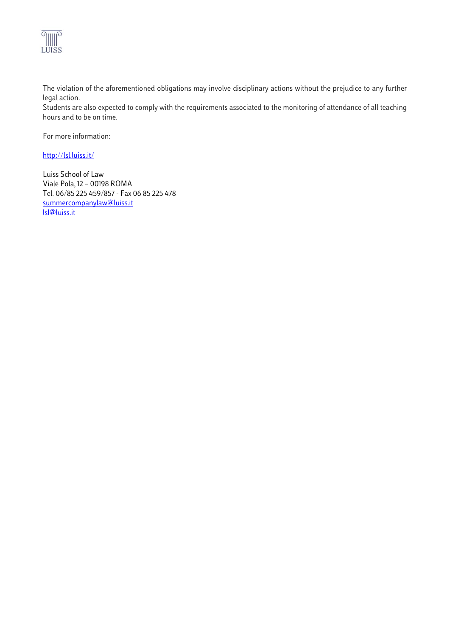

The violation of the aforementioned obligations may involve disciplinary actions without the prejudice to any further legal action.

Students are also expected to comply with the requirements associated to the monitoring of attendance of all teaching hours and to be on time.

For more information:

### <http://lsl.luiss.it/>

Luiss School of Law Viale Pola, 12 – 00198 ROMA Tel. 06/85 225 459/857 - Fax 06 85 225 478 [summercompanylaw@luiss.it](mailto:summercompanylaw@luiss.it) [lsl@luiss.it](mailto:lsl@luiss.it)